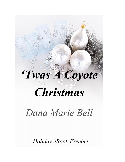# Twas A Coyote

## **Christmas**

### Dana Marie Bell

Holiday eBook Freebie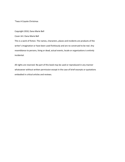'Twas A Coyote Christmas

Copyright 2010, Dana Marie Bell

Cover Art: Dana Marie Bell

This is a work of fiction. The names, characters, places and incidents are products of the writer's imagination or have been used fictitiously and are no construed to be real. Any resemblance to persons, living or dead, actual events, locale or organizations is entirely incidental.

All rights are reserved. No part of this book may be used or reproduced in any manner whatsoever without written permission except in the case of brief excerpts or quotations embodied in critical articles and reviews.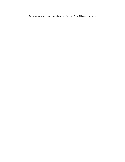To everyone who's asked me about the Poconos Pack. This one's for you.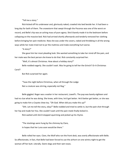"Tell me a story."

Rick kicked off his underwear and, gloriously naked, crawled into bed beside her. It had been a long day for both of them. The snowstorm that swept through the Poconos was one of the worst on record, and Belle's hip was an aching mass of pure agony. She'd barely made it to the bedroom before collapsing on the massive bed. Rick had arrived shortly afterwards and tenderly removed her clothing before bringing her pain medicine. Now she was under the covers, naked and throbbing in all the wrong ways while her mate tried not to jar the mattress and make everything hurt worse.

"A story?"

She gave him her most pleading look. She wanted something to take her mind off the pain, and her mate was the best person she knew to do that. Rick constantly surprised her.

"Well, it's almost Christmas. How about a holiday story?"

Belle nodded eagerly. She couldn't wait. Was he going to tell her the Grinch? Or A Christmas Carol?

But Rick surprised her again.

"Twas the night before Christmas, when all through the Lodge Not a creature was stirring, especially not Rog."

Belle giggled. Roger was a waiter in her restaurant, Lowell's. The pup was barely eighteen and had no clue what he was doing. She knew, with time, he'd get better. He'd better get better, or she was going to make him a Coyote chew toy. "Oh God. When did you make this up?"

"Shh. Let me tell the story, okay?" Belle nodded and tried to settle in, but the pain shot through her hip and made her hiss. She couldn't wait until the pain meds finally kicked in.

Rick waited until she'd stopped squirming and picked up his rhyme.

"The stockings were hung by the chimney by Clare, In hopes that her Luna soon would be there."

Belle rolled her eyes. Clare, the Wolf who ran the front desk, was overly affectionate with Belle. So affectionate, in fact, that Belle had been forced to use the airhorn on one wintry night to get the woman off her butt. Literally. Damn dogs and their wet noses.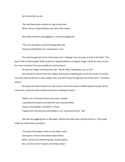*Just a greeting, my ass.*

"Ben and Dave were nestled all snug in their bed, While visions of Gerard Butler danced in their heads."

She really needed to stop giggling. It only encouraged him.

"The Luna and Alpha, tired of dealing with crap, Had just settled down for a long winter's nap."

The wink he gave her let her know how much "napping" was occuring, at least in his head. "Like bears? We're hibernating?" Belle teased her big bad Wolf by running her fingers down his chest. It was the most movement she was capable of, and he knew it.

He took her fingers and kissed the tips. "Shush. Who's telling this, you or me?"

She waved her free hand at him regally, ignoring the stabbing pain in her hip as best she could. The pain meds would kick in soon, please God, and she'd sleep through the rest of the storm. "Continue, please."

She knew she hadn't fooled him; the concern on his face wasn't hidden quickly enough. But he continued, curling himself carefully around her, keeping her warm.

"When out on the lawn there arose such a chatter, I stumbled from bed to see what the fuck was the matter. Away to the window I streaked in a flash, Tripped over the ottoman and landed on my-"he grinned at her"-ash".

Hell. She was giggling like an idiot again. Maybe the meds were starting to kick in. They could make her really loopy sometimes.

"The butt of the Alpha, white as new-fallen snow Gave quite a show to the wolves down below. When, what to his wondering eyes should appear, But a minivan full of Coyotes and holiday cheer."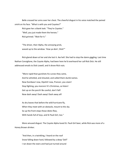Belle crossed her arms over her chest. The cheerful disgust in his voice matched the pained smirk on his face. "What is with you and Coyotes?"

Rick gave her a blank look. "They're *Coyotes*." "Well, you just made them the heroes." Rick grinned. "Wait for it."

"The driver, their Alpha, the annoying prick, waved up to the window. 'How ya doin', Dick!'"

Rick glared down at her and she lost it. Aw hell. She had to stop the damn giggling. Last time Nathan Consiglione, the Coyote Alpha, had been here he'd overheard her call Rick Dick. He still addressed emails to Dick Lowell, and it drove Rick nuts.

"More rapid than gunshots his curses they came, And he whistled, and shouted, and called them dumb names. Now Dumbass! now, Dipshit! now, Prancer, you vixen! Stop fighting, you morons! It's Christmas, so listen! Get up on the porch! Be careful, don't fall! Now dash away! Dash away! Dash away all!

As dry leaves that before the wild hurricane fly, When they meet with an obstacle, mount to the sky. So up the front steps those idiots flew, With hands full of toys, and St Pauli Girl, too."

More amused disgust. The Coyote Alpha loved St. Pauli Girl beer, while Rick was more of a Honey Brown drinker.

"And then, in a twinkling, I heard on the roof Snow falling down hard, followed by a deep 'Oof!' I ran down the stairs and had just turned around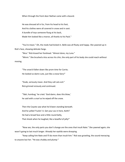When through the front door Nathan came with a bound.

He was dressed all in fur, from his head to his foot, And his clothes were all covered in snow and in soot. A bundle of toys someone flung at his back, Made him looked like a moron, all thanks to his Pack."

"You're mean." Oh, the meds had kicked in. Belle was all floaty and happy. She yawned up in Rick's face, showing delicate fangs.

"Nice." Rick kissed her forehead. "Almost done, my Luna."

"Mmm." She brushed a kiss across his chin, the only part of his body she could reach without moving.

"The snow'd fallen down like prom time for Carrie; He looked so damn cute, just like a snow fairy!"

"Dude, seriously mean. And they call cats evil." Rick grinned viciously and continued.

"'Bah, humbug,' he cried. 'God damn, does this blow,' he said with a snarl as he wiped off the snow.

Then the Coyote saw what he'd been standing beneath. And he yelled 'Fuckin' A. Get your ass in here, Keith!' He had a broad face and a little round belly, That shook when he laughed, like a bowlful of jelly!"

"Now see, the only parts you don't change are the ones that insult Nate." She yawned again; she wasn't going to last much longer. Already her eyelids were drooping.

"Keep calling him Nate and I'll do more than insult him." Rick was growling, the sound menacing to anyone but her. "He was chubby and plump-"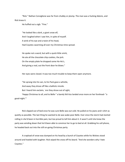"Rick." Nathan Consiglione was far from chubby or plump. The man was a fucking Adonis, and Rick knew it.

He huffed out a sigh. "Fine."

"He looked like a dork, a giant snow elf, And I laughed when I saw him, in spite of myself. A wink of his eye and a twist of his head, Had Coyotes swarming all over my Christmas-time spread.

He spoke not a word, but with a quick little smirk, He ate all the chocolate chip cookies, the jerk. On the empty plate he dropped some Ho-Ho's, And giving a nod, out the front door he blows."

Her eyes were closed. It was too much trouble to keep them open anymore.

"He sprang into his van, to his Pack gave a whistle,

And away they drove off like a ballistic missile.

But I heard him exclaim, `ere they drove out of sight,

'Happy Christmas to all, and to Belle-" a barely felt kiss landed once more on her forehead- "a good-night.'"

Rick slipped out of bed once he was sure Belle was out cold. He pulled on his jeans and t-shirt as quietly as possible. The last thing he wanted to do was wake poor Belle. Ever since the storm had started rolling in she'd been in horrible pain, but too proud to tell him about it. It wasn't until she knew the party was winding down that he'd been able to convince her to go to bed at all. Grabbing his cell phone, he headed back out into the still on-going Christmas party.

A crapload of snow was dumped on his head by a bunch of Coyotes while his Wolves stood around and howled with laughter. Rick wiped the snow off his beard. "And she wonders why I hate Coyotes."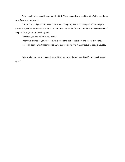Nate, laughing his ass off, gave him the bird. "Fuck you and your cookies. Who's the god damn snow fairy now, asshole?"

"Heard that, did you?" Rick wasn't surprised. The party was in his own part of the Lodge, a private one just for his Wolves and New York Coyotes. It was the final seal on the already done deal of the pass-through treaty they'd signed.

"Besides, you like Ho-Ho's, you prick."

"Merry Christmas to you, too. Jerk." Rick took the last of the snow and threw it at Nate.

Hell. Talk about Christmas miracles. Why else would he find himself actually liking a Coyote?

Belle smiled into her pillow at the combined laughter of Coyote and Wolf. "And to all a good night."